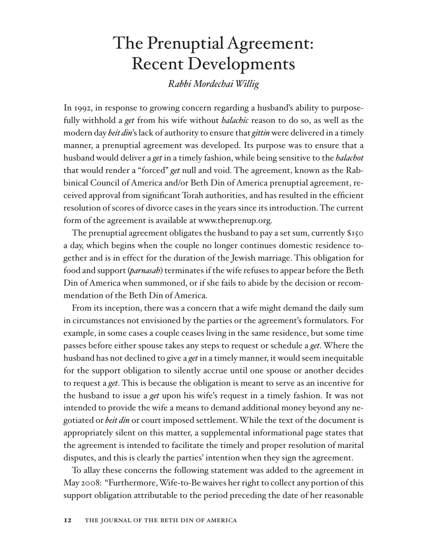# The Prenuptial Agreement: Recent Developments

*Rabbi Mordechai Willig*

In 1992, in response to growing concern regarding a husband's ability to purposefully withhold a *get* from his wife without *halachic* reason to do so, as well as the modern day *beit din*'s lack of authority to ensure that *gittin* were delivered in a timely manner, a prenuptial agreement was developed. Its purpose was to ensure that a husband would deliver a *get* in a timely fashion, while being sensitive to the *halachot* that would render a "forced" *get* null and void. The agreement, known as the Rabbinical Council of America and/or Beth Din of America prenuptial agreement, received approval from significant Torah authorities, and has resulted in the efficient resolution of scores of divorce cases in the years since its introduction. The current form of the agreement is available at www.theprenup.org.

The prenuptial agreement obligates the husband to pay a set sum, currently \$150 a day, which begins when the couple no longer continues domestic residence together and is in effect for the duration of the Jewish marriage. This obligation for food and support (*parnasah*) terminates if the wife refuses to appear before the Beth Din of America when summoned, or if she fails to abide by the decision or recommendation of the Beth Din of America.

From its inception, there was a concern that a wife might demand the daily sum in circumstances not envisioned by the parties or the agreement's formulators. For example, in some cases a couple ceases living in the same residence, but some time passes before either spouse takes any steps to request or schedule a *get*. Where the husband has not declined to give a *get* in a timely manner, it would seem inequitable for the support obligation to silently accrue until one spouse or another decides to request a *get*. This is because the obligation is meant to serve as an incentive for the husband to issue a *get* upon his wife's request in a timely fashion. It was not intended to provide the wife a means to demand additional money beyond any negotiated or *beit din* or court imposed settlement. While the text of the document is appropriately silent on this matter, a supplemental informational page states that the agreement is intended to facilitate the timely and proper resolution of marital disputes, and this is clearly the parties' intention when they sign the agreement.

To allay these concerns the following statement was added to the agreement in May 2008: "Furthermore, Wife-to-Be waives her right to collect any portion of this support obligation attributable to the period preceding the date of her reasonable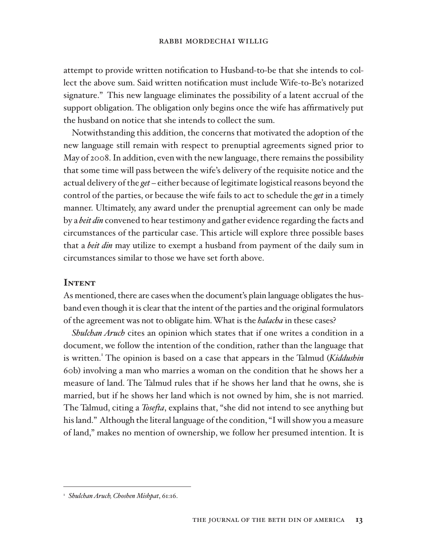attempt to provide written notification to Husband-to-be that she intends to collect the above sum. Said written notification must include Wife-to-Be's notarized signature." This new language eliminates the possibility of a latent accrual of the support obligation. The obligation only begins once the wife has affirmatively put the husband on notice that she intends to collect the sum.

Notwithstanding this addition, the concerns that motivated the adoption of the new language still remain with respect to prenuptial agreements signed prior to May of 2008. In addition, even with the new language, there remains the possibility that some time will pass between the wife's delivery of the requisite notice and the actual delivery of the *get* – either because of legitimate logistical reasons beyond the control of the parties, or because the wife fails to act to schedule the *get* in a timely manner. Ultimately, any award under the prenuptial agreement can only be made by a *beit din* convened to hear testimony and gather evidence regarding the facts and circumstances of the particular case. This article will explore three possible bases that a *beit din* may utilize to exempt a husband from payment of the daily sum in circumstances similar to those we have set forth above.

#### **INTENT**

As mentioned, there are cases when the document's plain language obligates the husband even though it is clear that the intent of the parties and the original formulators of the agreement was not to obligate him. What is the *halacha* in these cases?

*Shulchan Aruch* cites an opinion which states that if one writes a condition in a document, we follow the intention of the condition, rather than the language that is written.<sup>1</sup> The opinion is based on a case that appears in the Talmud (*Kiddushin* 60b) involving a man who marries a woman on the condition that he shows her a measure of land. The Talmud rules that if he shows her land that he owns, she is married, but if he shows her land which is not owned by him, she is not married. The Talmud, citing a *Tosefta*, explains that, "she did not intend to see anything but his land." Although the literal language of the condition, "I will show you a measure of land," makes no mention of ownership, we follow her presumed intention. It is

<sup>1</sup> *Shulchan Aruch, Choshen Mishpat*, 61:16.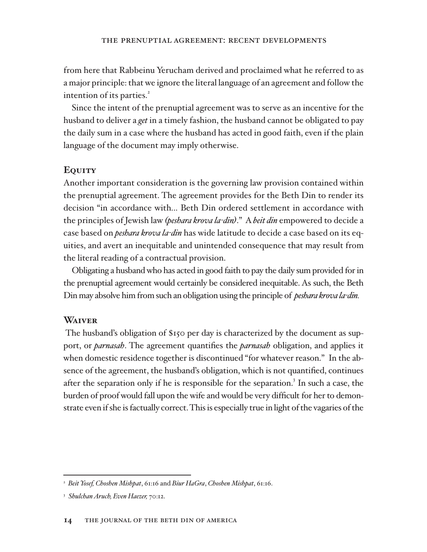from here that Rabbeinu Yerucham derived and proclaimed what he referred to as a major principle: that we ignore the literal language of an agreement and follow the intention of its parties.<sup>2</sup>

Since the intent of the prenuptial agreement was to serve as an incentive for the husband to deliver a *get* in a timely fashion, the husband cannot be obligated to pay the daily sum in a case where the husband has acted in good faith, even if the plain language of the document may imply otherwise.

## **Equity**

Another important consideration is the governing law provision contained within the prenuptial agreement. The agreement provides for the Beth Din to render its decision "in accordance with... Beth Din ordered settlement in accordance with the principles of Jewish law (*peshara krova la-din*)." A *beit din* empowered to decide a case based on *peshara krova la-din* has wide latitude to decide a case based on its equities, and avert an inequitable and unintended consequence that may result from the literal reading of a contractual provision.

Obligating a husband who has acted in good faith to pay the daily sum provided for in the prenuptial agreement would certainly be considered inequitable. As such, the Beth Din may absolve him from such an obligation using the principle of *peshara krova la-din*.

### **Waiver**

 The husband's obligation of \$150 per day is characterized by the document as support, or *parnasah*. The agreement quantifies the *parnasah* obligation, and applies it when domestic residence together is discontinued "for whatever reason." In the absence of the agreement, the husband's obligation, which is not quantified, continues after the separation only if he is responsible for the separation.<sup>3</sup> In such a case, the burden of proof would fall upon the wife and would be very difficult for her to demonstrate even if she is factually correct. This is especially true in light of the vagaries of the

<sup>2</sup> *Beit Yosef, Choshen Mishpat*, 61:16 and *Biur HaGra*, *Choshen Mishpat*, 61:16.

<sup>&</sup>lt;sup>3</sup> Shulchan Aruch, Even Haezer, 70:12.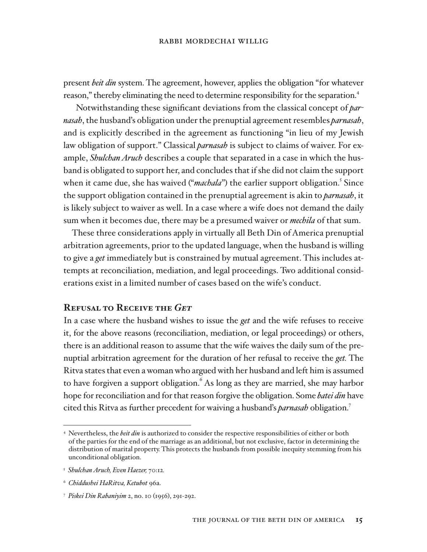present *beit din* system. The agreement, however, applies the obligation "for whatever reason," thereby eliminating the need to determine responsibility for the separation.<sup>4</sup>

Notwithstanding these significant deviations from the classical concept of *parnasah*, the husband's obligation under the prenuptial agreement resembles *parnasah*, and is explicitly described in the agreement as functioning "in lieu of my Jewish law obligation of support." Classical *parnasah* is subject to claims of waiver. For example, *Shulchan Aruch* describes a couple that separated in a case in which the husband is obligated to support her, and concludes that if she did not claim the support when it came due, she has waived ("*machala*") the earlier support obligation.<sup>5</sup> Since the support obligation contained in the prenuptial agreement is akin to *parnasah*, it is likely subject to waiver as well. In a case where a wife does not demand the daily sum when it becomes due, there may be a presumed waiver or *mechila* of that sum.

These three considerations apply in virtually all Beth Din of America prenuptial arbitration agreements, prior to the updated language, when the husband is willing to give a *get* immediately but is constrained by mutual agreement. This includes attempts at reconciliation, mediation, and legal proceedings. Two additional considerations exist in a limited number of cases based on the wife's conduct.

#### **Refusal to Receive the** *Get*

In a case where the husband wishes to issue the *get* and the wife refuses to receive it, for the above reasons (reconciliation, mediation, or legal proceedings) or others, there is an additional reason to assume that the wife waives the daily sum of the prenuptial arbitration agreement for the duration of her refusal to receive the *get*. The Ritva states that even a woman who argued with her husband and left him is assumed to have forgiven a support obligation. As long as they are married, she may harbor hope for reconciliation and for that reason forgive the obligation. Some *batei din* have cited this Ritva as further precedent for waiving a husband's *parnasah* obligation.7

<sup>4</sup> Nevertheless, the *beit din* is authorized to consider the respective responsibilities of either or both of the parties for the end of the marriage as an additional, but not exclusive, factor in determining the distribution of marital property. This protects the husbands from possible inequity stemming from his unconditional obligation.

<sup>&</sup>lt;sup>5</sup> Shulchan Aruch, Even Haezer, 70:12.

<sup>&</sup>lt;sup>6</sup> Chiddushei HaRitva, Ketubot 96a.

<sup>&</sup>lt;sup>7</sup> Piskei Din Rabaniyim 2, no. 10 (1956), 291-292.